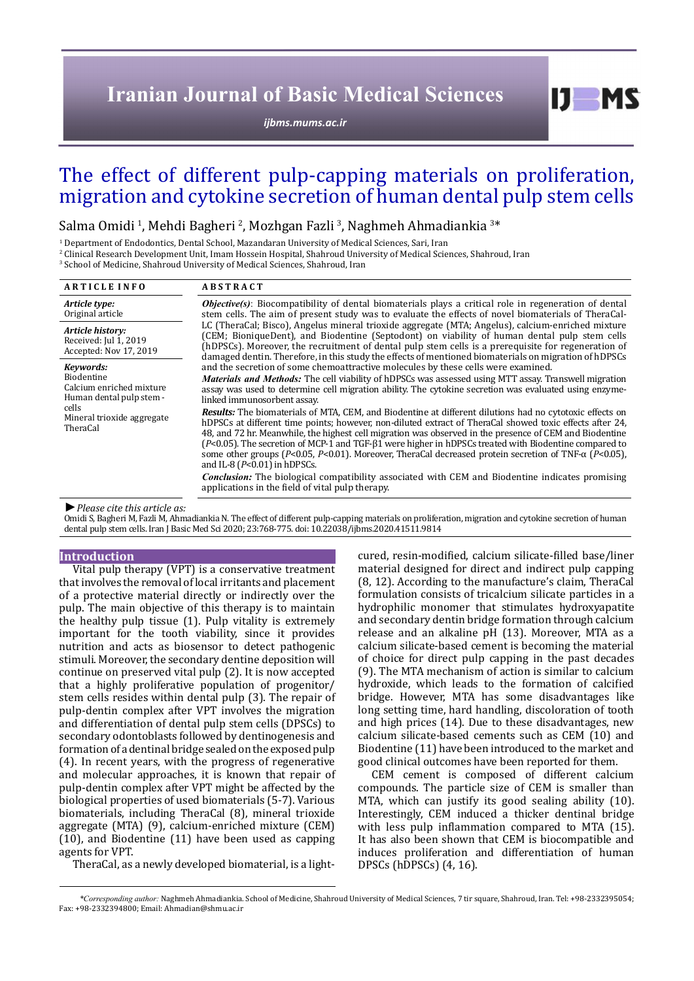# **Iranian Journal of Basic Medical Sciences**

*[ijbms.mums.ac.ir](http://ijbms.mums.ac.ir)*

# The effect of different pulp-capping materials on proliferation, migration and cytokine secretion of human dental pulp stem cells

Salma Omidi <sup>1</sup>, Mehdi Bagheri <sup>2</sup>, Mozhgan Fazli <sup>3</sup>, Naghmeh Ahmadiankia <sup>3</sup>\*

1 Department of Endodontics, Dental School, Mazandaran University of Medical Sciences, Sari, Iran

2 Clinical Research Development Unit, Imam Hossein Hospital, Shahroud University of Medical Sciences, Shahroud, Iran

3 School of Medicine, Shahroud University of Medical Sciences, Shahroud, Iran

| <b>ARTICLE INFO</b>                                                                                                                | <b>ABSTRACT</b>                                                                                                                                                                                                                                                                                                                                                                                                                                                                                                                                                                                                                                                                                                                                                                                                                                                                                                                                                                                                                                                                                                                                                                                                                                                                                                                                                                                                                                                                                                                                                                                                                                                                                                                                                                 |
|------------------------------------------------------------------------------------------------------------------------------------|---------------------------------------------------------------------------------------------------------------------------------------------------------------------------------------------------------------------------------------------------------------------------------------------------------------------------------------------------------------------------------------------------------------------------------------------------------------------------------------------------------------------------------------------------------------------------------------------------------------------------------------------------------------------------------------------------------------------------------------------------------------------------------------------------------------------------------------------------------------------------------------------------------------------------------------------------------------------------------------------------------------------------------------------------------------------------------------------------------------------------------------------------------------------------------------------------------------------------------------------------------------------------------------------------------------------------------------------------------------------------------------------------------------------------------------------------------------------------------------------------------------------------------------------------------------------------------------------------------------------------------------------------------------------------------------------------------------------------------------------------------------------------------|
| Article type:<br>Original article                                                                                                  | <b><i>Objective(s)</i></b> : Biocompatibility of dental biomaterials plays a critical role in regeneration of dental<br>stem cells. The aim of present study was to evaluate the effects of novel biomaterials of TheraCal-<br>LC (TheraCal; Bisco), Angelus mineral trioxide aggregate (MTA; Angelus), calcium-enriched mixture<br>(CEM; BioniqueDent), and Biodentine (Septodont) on viability of human dental pulp stem cells<br>(hDPSCs). Moreover, the recruitment of dental pulp stem cells is a prerequisite for regeneration of<br>damaged dentin. Therefore, in this study the effects of mentioned biomaterials on migration of hDPSCs<br>and the secretion of some chemoattractive molecules by these cells were examined.<br><i>Materials and Methods:</i> The cell viability of hDPSCs was assessed using MTT assay. Transwell migration<br>assay was used to determine cell migration ability. The cytokine secretion was evaluated using enzyme-<br>linked immunosorbent assay.<br><b>Results:</b> The biomaterials of MTA, CEM, and Biodentine at different dilutions had no cytotoxic effects on<br>hDPSCs at different time points; however, non-diluted extract of TheraCal showed toxic effects after 24,<br>48, and 72 hr. Meanwhile, the highest cell migration was observed in the presence of CEM and Biodentine<br>$(P<0.05)$ . The secretion of MCP-1 and TGF- $\beta$ 1 were higher in hDPSCs treated with Biodentine compared to<br>some other groups (P<0.05, P<0.01). Moreover, TheraCal decreased protein secretion of TNF- $\alpha$ (P<0.05),<br>and IL-8 ( $P<0.01$ ) in hDPSCs.<br><b>Conclusion:</b> The biological compatibility associated with CEM and Biodentine indicates promising<br>applications in the field of vital pulp therapy. |
| Article history:<br>Received: Jul 1, 2019<br>Accepted: Nov 17, 2019                                                                |                                                                                                                                                                                                                                                                                                                                                                                                                                                                                                                                                                                                                                                                                                                                                                                                                                                                                                                                                                                                                                                                                                                                                                                                                                                                                                                                                                                                                                                                                                                                                                                                                                                                                                                                                                                 |
| Kevwords:<br>Biodentine<br>Calcium enriched mixture<br>Human dental pulp stem -<br>cells<br>Mineral trioxide aggregate<br>TheraCal |                                                                                                                                                                                                                                                                                                                                                                                                                                                                                                                                                                                                                                                                                                                                                                                                                                                                                                                                                                                                                                                                                                                                                                                                                                                                                                                                                                                                                                                                                                                                                                                                                                                                                                                                                                                 |

*►Please cite this article as:*

Omidi S, Bagheri M, Fazli M, Ahmadiankia N. The effect of different pulp-capping materials on proliferation, migration and cytokine secretion of human dental pulp stem cells. Iran J Basic Med Sci 2020; 23:768-775. doi: 10.22038/ijbms.2020.41511.9814

## **Introduction**

Vital pulp therapy (VPT) is a conservative treatment that involves the removal of local irritants and placement of a protective material directly or indirectly over the pulp. The main objective of this therapy is to maintain the healthy pulp tissue (1). Pulp vitality is extremely important for the tooth viability, since it provides nutrition and acts as biosensor to detect pathogenic stimuli. Moreover, the secondary dentine deposition will continue on preserved vital pulp (2). It is now accepted that a highly proliferative population of progenitor/ stem cells resides within dental pulp (3). The repair of pulp-dentin complex after VPT involves the migration and differentiation of dental pulp stem cells (DPSCs) to secondary odontoblasts followed by dentinogenesis and formation of a dentinal bridge sealed on the exposed pulp (4). In recent years, with the progress of regenerative and molecular approaches, it is known that repair of pulp-dentin complex after VPT might be affected by the biological properties of used biomaterials (5-7). Various biomaterials, including TheraCal (8), mineral trioxide aggregate (MTA) (9), calcium-enriched mixture (CEM) (10), and Biodentine (11) have been used as capping agents for VPT.

TheraCal, as a newly developed biomaterial, is a light-

cured, resin-modified, calcium silicate-filled base/liner material designed for direct and indirect pulp capping (8, 12). According to the manufacture's claim, TheraCal formulation consists of tricalcium silicate particles in a hydrophilic monomer that stimulates hydroxyapatite and secondary dentin bridge formation through calcium release and an alkaline pH (13). Moreover, MTA as a calcium silicate-based cement is becoming the material of choice for direct pulp capping in the past decades (9). The MTA mechanism of action is similar to calcium hydroxide, which leads to the formation of calcified bridge. However, MTA has some disadvantages like long setting time, hard handling, discoloration of tooth and high prices (14). Due to these disadvantages, new calcium silicate-based cements such as CEM (10) and Biodentine (11) have been introduced to the market and good clinical outcomes have been reported for them.

 $I$   $I$   $M$   $S$ 

CEM cement is composed of different calcium compounds. The particle size of CEM is smaller than MTA, which can justify its good sealing ability (10). Interestingly, CEM induced a thicker dentinal bridge with less pulp inflammation compared to MTA (15). It has also been shown that CEM is biocompatible and induces proliferation and differentiation of human DPSCs (hDPSCs) (4, 16).

*\*Corresponding author:* Naghmeh Ahmadiankia. School of Medicine, Shahroud University of Medical Sciences, 7 tir square, Shahroud, Iran. Tel: +98-2332395054; Fax: +98-2332394800; Email: Ahmadian@shmu.ac.ir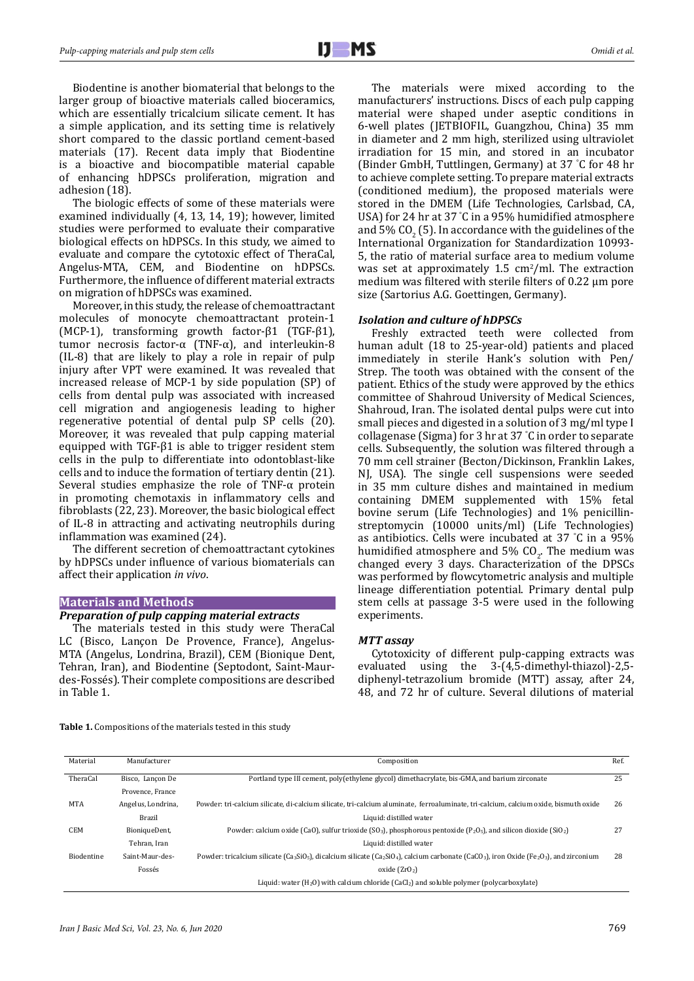Biodentine is another biomaterial that belongs to the larger group of bioactive materials called bioceramics, which are essentially tricalcium silicate cement. It has a simple application, and its setting time is relatively short compared to the classic portland cement-based materials (17). Recent data imply that Biodentine is a bioactive and biocompatible material capable of enhancing hDPSCs proliferation, migration and adhesion (18).

The biologic effects of some of these materials were examined individually (4, 13, 14, 19); however, limited studies were performed to evaluate their comparative biological effects on hDPSCs. In this study, we aimed to evaluate and compare the cytotoxic effect of TheraCal, Angelus-MTA, CEM, and Biodentine on hDPSCs. Furthermore, the influence of different material extracts on migration of hDPSCs was examined.

Moreover, in this study, the release of chemoattractant molecules of monocyte chemoattractant protein-1 (MCP-1), transforming growth factor-β1 (TGF-β1), tumor necrosis factor-α (TNF-α), and interleukin-8 (IL-8) that are likely to play a role in repair of pulp injury after VPT were examined. It was revealed that increased release of MCP-1 by side population (SP) of cells from dental pulp was associated with increased cell migration and angiogenesis leading to higher regenerative potential of dental pulp SP cells (20). Moreover, it was revealed that pulp capping material equipped with TGF-β1 is able to trigger resident stem cells in the pulp to differentiate into odontoblast-like cells and to induce the formation of tertiary dentin (21). Several studies emphasize the role of TNF- $\alpha$  protein in promoting chemotaxis in inflammatory cells and fibroblasts (22, 23). Moreover, the basic biological effect of IL-8 in attracting and activating neutrophils during inflammation was examined (24).

The different secretion of chemoattractant cytokines by hDPSCs under influence of various biomaterials can affect their application *in vivo*.

### **Materials and Methods**

## *Preparation of pulp capping material extracts*

The materials tested in this study were TheraCal LC (Bisco, Lançon De Provence, France), Angelus-MTA (Angelus, Londrina, Brazil), CEM (Bionique Dent, Tehran, Iran), and Biodentine (Septodont, Saint-Maurdes-Fossés). Their complete compositions are described in Table 1.

The materials were mixed according to the manufacturers' instructions. Discs of each pulp capping material were shaped under aseptic conditions in 6-well plates (JETBIOFIL, Guangzhou, China) 35 mm in diameter and 2 mm high, sterilized using ultraviolet irradiation for 15 min, and stored in an incubator (Binder GmbH, Tuttlingen, Germany) at 37 ° C for 48 hr to achieve complete setting. To prepare material extracts (conditioned medium), the proposed materials were stored in the DMEM (Life Technologies, Carlsbad, CA, USA) for 24 hr at 37 ° C in a 95% humidified atmosphere and 5% CO<sub>2</sub> (5). In accordance with the guidelines of the International Organization for Standardization 10993- 5, the ratio of material surface area to medium volume was set at approximately  $1.5 \text{ cm}^2/\text{ml}$ . The extraction medium was filtered with sterile filters of 0.22 µm pore size (Sartorius A.G. Goettingen, Germany).

## *Isolation and culture of hDPSCs*

Freshly extracted teeth were collected from human adult (18 to 25-year-old) patients and placed immediately in sterile Hank's solution with Pen/ Strep. The tooth was obtained with the consent of the patient. Ethics of the study were approved by the ethics committee of Shahroud University of Medical Sciences, Shahroud, Iran. The isolated dental pulps were cut into small pieces and digested in a solution of 3 mg/ml type I collagenase (Sigma) for 3 hr at 37 ° C in order to separate cells. Subsequently, the solution was filtered through a 70 mm cell strainer (Becton/Dickinson, Franklin Lakes, NJ, USA). The single cell suspensions were seeded in 35 mm culture dishes and maintained in medium containing DMEM supplemented with 15% fetal bovine serum (Life Technologies) and 1% penicillinstreptomycin (10000 units/ml) (Life Technologies) as antibiotics. Cells were incubated at 37 ° C in a 95% humidified atmosphere and 5%  $CO<sub>2</sub>$ . The medium was changed every 3 days. Characterization of the DPSCs was performed by flowcytometric analysis and multiple lineage differentiation potential. Primary dental pulp stem cells at passage 3-5 were used in the following experiments.

## *MTT assay*

Cytotoxicity of different pulp-capping extracts was evaluated using the 3-(4,5-dimethyl-thiazol)-2,5 diphenyl-tetrazolium bromide (MTT) assay, after 24, 48, and 72 hr of culture. Several dilutions of material

**Table 1.** Compositions of the materials tested in this study

| Material          | Manufacturer       | Composition                                                                                                                                                               | Ref. |
|-------------------|--------------------|---------------------------------------------------------------------------------------------------------------------------------------------------------------------------|------|
| TheraCal          | Bisco, Lancon De   | Portland type III cement, poly(ethylene glycol) dimethacrylate, bis-GMA, and barium zirconate                                                                             | 25   |
|                   | Provence, France   |                                                                                                                                                                           |      |
| MTA               | Angelus, Londrina, | Powder: tri-calcium silicate, di-calcium silicate, tri-calcium aluminate, ferroaluminate, tri-calcium, calcium oxide, bismuth oxide                                       | 26   |
|                   | Brazil             | Liquid: distilled water                                                                                                                                                   |      |
| <b>CEM</b>        | BioniqueDent,      | Powder: calcium oxide (CaO), sulfur trioxide (SO <sub>3</sub> ), phosphorous pentoxide (P <sub>2</sub> O <sub>5</sub> ), and silicon dioxide (SiO <sub>2</sub> )          | 27   |
|                   | Tehran, Iran       | Liquid: distilled water                                                                                                                                                   |      |
| <b>Biodentine</b> | Saint-Maur-des-    | Powder: tricalcium silicate $(Ca_3SiO_5)$ , dicalcium silicate $(Ca_2SiO_4)$ , calcium carbonate $(CaCO_3)$ , iron Oxide (Fe <sub>2</sub> O <sub>3</sub> ), and zirconium | 28   |
|                   | Fossés             | oxide $(ZrO2)$                                                                                                                                                            |      |
|                   |                    | Liquid: water $(H_2O)$ with calcium chloride $(CaCl_2)$ and soluble polymer (polycarboxylate)                                                                             |      |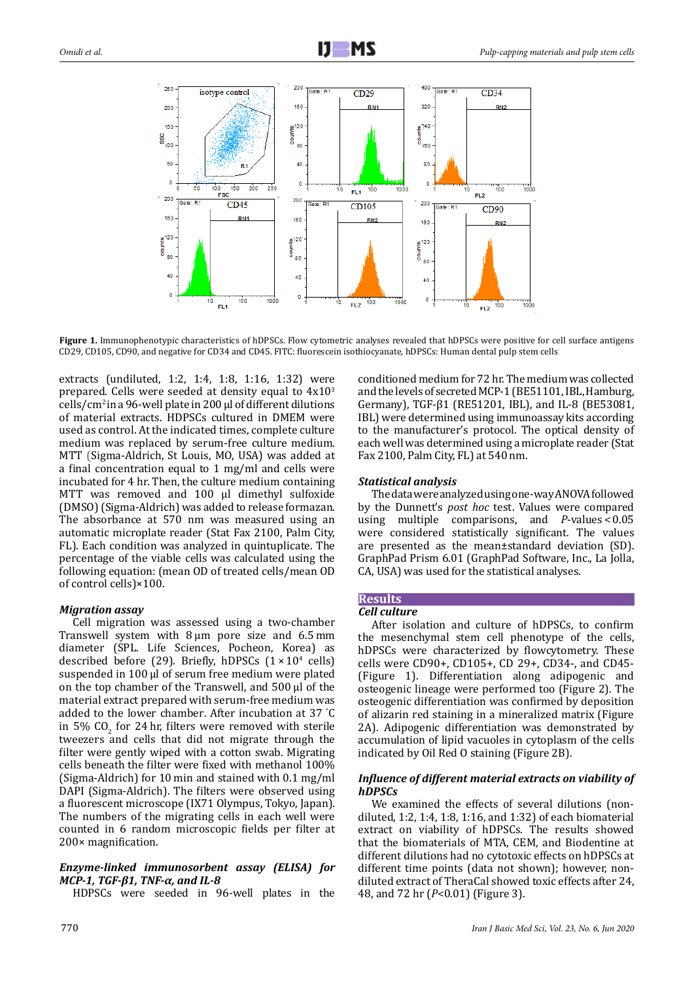

**Figure 1.** Immunophenotypic characteristics of hDPSCs. Flow cytometric analyses revealed that hDPSCs were positive for cell surface antigens CD29, CD105, CD90, and negative for CD34 and CD45. FITC: fluorescein isothiocyanate, hDPSCs: Human dental pulp stem cells

extracts (undiluted, 1:2, 1:4, 1:8, 1:16, 1:32) were prepared. Cells were seeded at density equal to  $4x10<sup>3</sup>$ cells/ $\rm cm^2$  in a 96-well plate in 200 µl of different dilutions of material extracts. HDPSCs cultured in DMEM were used as control. At the indicated times, complete culture medium was replaced by serum-free culture medium. MTT (Sigma-Aldrich, St Louis, MO, USA) was added at a final concentration equal to 1 mg/ml and cells were incubated for 4 hr. Then, the culture medium containing MTT was removed and 100 ul dimethyl sulfoxide (DMSO) (Sigma-Aldrich) was added to release formazan. The absorbance at 570 nm was measured using an automatic microplate reader (Stat Fax 2100, Palm City, FL). Each condition was analyzed in quintuplicate. The percentage of the viable cells was calculated using the following equation: (mean OD of treated cells/mean OD of control cells)×100.

# *Migration assay*

Cell migration was assessed using a two-chamber Transwell system with 8 µm pore size and 6.5 mm diameter (SPL. Life Sciences, Pocheon, Korea) as described before (29). Briefly, hDPSCs  $(1 \times 10^4 \text{ cells})$ suspended in 100 μl of serum free medium were plated on the top chamber of the Transwell, and 500 μl of the material extract prepared with serum-free medium was added to the lower chamber. After incubation at 37 ° C in 5% CO<sub>2</sub> for 24 hr, filters were removed with sterile tweezers and cells that did not migrate through the filter were gently wiped with a cotton swab. Migrating cells beneath the filter were fixed with methanol 100% (Sigma-Aldrich) for 10 min and stained with 0.1 mg/ml DAPI (Sigma-Aldrich). The filters were observed using a fluorescent microscope (IX71 Olympus, Tokyo, Japan). The numbers of the migrating cells in each well were counted in 6 random microscopic fields per filter at 200× magnification.

# *Enzyme-linked immunosorbent assay (ELISA) for MCP-1, TGF-β1, TNF-α, and IL-8*

HDPSCs were seeded in 96-well plates in the

conditioned medium for 72 hr. The medium was collected and the levels of secreted MCP-1 (BE51101, IBL, Hamburg, Germany), TGF-β1 (RE51201, IBL), and IL-8 (BE53081, IBL) were determined using immunoassay kits according to the manufacturer's protocol. The optical density of each well was determined using a microplate reader (Stat Fax 2100, Palm City, FL) at 540 nm.

# *Statistical analysis*

The data were analyzed using one-way ANOVA followed by the Dunnett's *post hoc* test. Values were compared using multiple comparisons, and *P*-values < 0.05 were considered statistically significant. The values are presented as the mean±standard deviation (SD). GraphPad Prism 6.01 (GraphPad Software, Inc., La Jolla, CA, USA) was used for the statistical analyses.

# **Results**

# *Cell culture*

After isolation and culture of hDPSCs, to confirm the mesenchymal stem cell phenotype of the cells, hDPSCs were characterized by flowcytometry. These cells were CD90+, CD105+, CD 29+, CD34-, and CD45- (Figure 1). Differentiation along adipogenic and osteogenic lineage were performed too (Figure 2). The osteogenic differentiation was confirmed by deposition of alizarin red staining in a mineralized matrix (Figure 2A). Adipogenic differentiation was demonstrated by accumulation of lipid vacuoles in cytoplasm of the cells indicated by Oil Red O staining (Figure 2B).

# *Influence of different material extracts on viability of hDPSCs*

We examined the effects of several dilutions (nondiluted, 1:2, 1:4, 1:8, 1:16, and 1:32) of each biomaterial extract on viability of hDPSCs. The results showed that the biomaterials of MTA, CEM, and Biodentine at different dilutions had no cytotoxic effects on hDPSCs at different time points (data not shown); however, nondiluted extract of TheraCal showed toxic effects after 24, 48, and 72 hr (*P*<0.01) (Figure 3).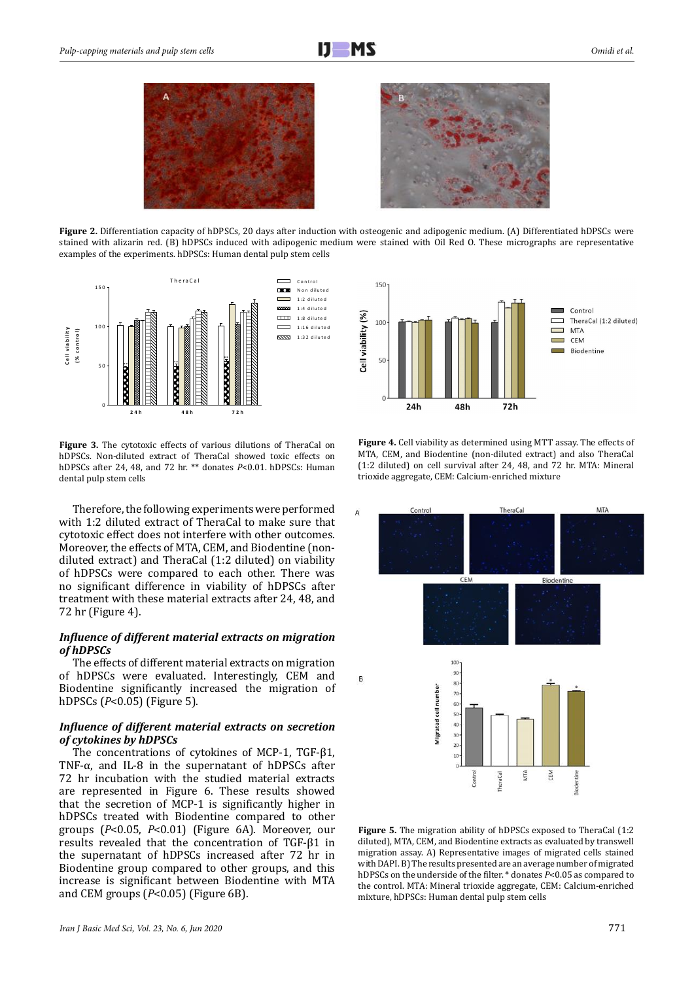



**Figure 2.** Differentiation capacity of hDPSCs, 20 days after induction with osteogenic and adipogenic medium. (A) Differentiated hDPSCs were stained with alizarin red. (B) hDPSCs induced with adipogenic medium were stained with Oil Red O. These micrographs are representative examples of the experiments. hDPSCs: Human dental pulp stem cells



**Figure 3.** The cytotoxic effects of various dilutions of TheraCal on hDPSCs. Non-diluted extract of TheraCal showed toxic effects on hDPSCs after 24, 48, and 72 hr. \*\* donates *P*<0.01. hDPSCs: Human dental pulp stem cells

Therefore, the following experiments were performed with 1:2 diluted extract of TheraCal to make sure that cytotoxic effect does not interfere with other outcomes. Moreover, the effects of MTA, CEM, and Biodentine (nondiluted extract) and TheraCal (1:2 diluted) on viability of hDPSCs were compared to each other. There was no significant difference in viability of hDPSCs after treatment with these material extracts after 24, 48, and 72 hr (Figure 4).

# *Influence of different material extracts on migration of hDPSCs*

The effects of different material extracts on migration of hDPSCs were evaluated. Interestingly, CEM and Biodentine significantly increased the migration of hDPSCs (*P*<0.05) (Figure 5).

# *Influence of different material extracts on secretion of cytokines by hDPSCs*

The concentrations of cytokines of MCP-1, TGF-β1, TNF- $\alpha$ , and IL-8 in the supernatant of hDPSCs after 72 hr incubation with the studied material extracts are represented in Figure 6. These results showed that the secretion of MCP-1 is significantly higher in hDPSCs treated with Biodentine compared to other groups (*P*<0.05, *P*<0.01) (Figure 6A). Moreover, our results revealed that the concentration of TGF-β1 in the supernatant of hDPSCs increased after 72 hr in Biodentine group compared to other groups, and this increase is significant between Biodentine with MTA and CEM groups (*P*<0.05) (Figure 6B).



**Figure 4.** Cell viability as determined using MTT assay. The effects of MTA, CEM, and Biodentine (non-diluted extract) and also TheraCal (1:2 diluted) on cell survival after 24, 48, and 72 hr. MTA: Mineral trioxide aggregate, CEM: Calcium-enriched mixture



**Figure 5.** The migration ability of hDPSCs exposed to TheraCal (1:2 diluted), MTA, CEM, and Biodentine extracts as evaluated by transwell migration assay. A) Representative images of migrated cells stained with DAPI. B) The results presented are an average number of migrated hDPSCs on the underside of the filter. \* donates *P*<0.05 as compared to the control. MTA: Mineral trioxide aggregate, CEM: Calcium-enriched mixture, hDPSCs: Human dental pulp stem cells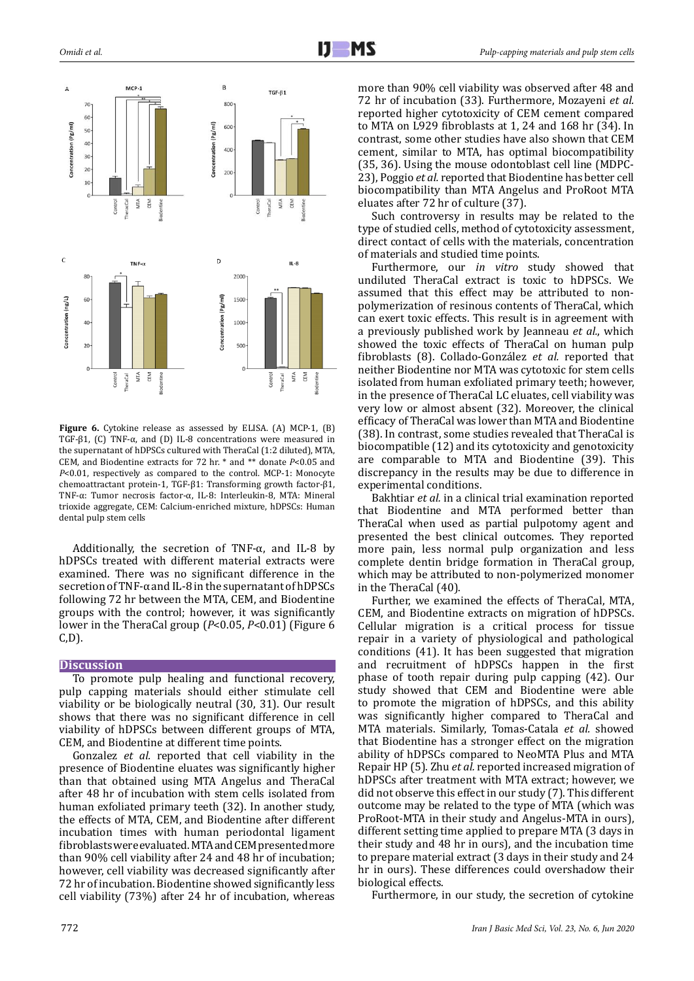

**Figure 6.** Cytokine release as assessed by ELISA. (A) MCP-1, (B) TGF-β1, (C) TNF-α, and (D) IL-8 concentrations were measured in the supernatant of hDPSCs cultured with TheraCal (1:2 diluted), MTA, CEM, and Biodentine extracts for 72 hr. \* and \*\* donate *P*<0.05 and *P*<0.01, respectively as compared to the control. MCP-1: Monocyte chemoattractant protein-1, TGF-β1: Transforming growth factor-β1, TNF-α: Tumor necrosis factor-α, IL-8: Interleukin-8, MTA: Mineral trioxide aggregate, CEM: Calcium-enriched mixture, hDPSCs: Human dental pulp stem cells

Additionally, the secretion of TNF- $\alpha$ , and IL-8 by hDPSCs treated with different material extracts were examined. There was no significant difference in the secretion of TNF-α and IL-8 in the supernatant of hDPSCs following 72 hr between the MTA, CEM, and Biodentine groups with the control; however, it was significantly lower in the TheraCal group (*P*<0.05, *P*<0.01) (Figure 6 C,D).

# **Discussion**

To promote pulp healing and functional recovery, pulp capping materials should either stimulate cell viability or be biologically neutral (30, 31). Our result shows that there was no significant difference in cell viability of hDPSCs between different groups of MTA, CEM, and Biodentine at different time points.

Gonzalez *et al.* reported that cell viability in the presence of Biodentine eluates was significantly higher than that obtained using MTA Angelus and TheraCal after 48 hr of incubation with stem cells isolated from human exfoliated primary teeth (32). In another study, the effects of MTA, CEM, and Biodentine after different incubation times with human periodontal ligament fibroblasts were evaluated. MTA and CEM presented more than 90% cell viability after 24 and 48 hr of incubation; however, cell viability was decreased significantly after 72 hr of incubation. Biodentine showed significantly less cell viability (73%) after 24 hr of incubation, whereas more than 90% cell viability was observed after 48 and 72 hr of incubation (33). Furthermore, Mozayeni *et al.* reported higher cytotoxicity of CEM cement compared to MTA on L929 fibroblasts at 1, 24 and 168 hr (34). In contrast, some other studies have also shown that CEM cement, similar to MTA, has optimal biocompatibility (35, 36). Using the mouse odontoblast cell line (MDPC-23), Poggio *et al.* reported that Biodentine has better cell biocompatibility than MTA Angelus and ProRoot MTA eluates after 72 hr of culture (37).

Such controversy in results may be related to the type of studied cells, method of cytotoxicity assessment, direct contact of cells with the materials, concentration of materials and studied time points.

Furthermore, our *in vitro* study showed that undiluted TheraCal extract is toxic to hDPSCs. We assumed that this effect may be attributed to nonpolymerization of resinous contents of TheraCal, which can exert toxic effects. This result is in agreement with a previously published work by Jeanneau *et al.*, which showed the toxic effects of TheraCal on human pulp fibroblasts (8). Collado-González *et al.* reported that neither Biodentine nor MTA was cytotoxic for stem cells isolated from human exfoliated primary teeth; however, in the presence of TheraCal LC eluates, cell viability was very low or almost absent (32). Moreover, the clinical efficacy of TheraCal was lower than MTA and Biodentine (38). In contrast, some studies revealed that TheraCal is biocompatible (12) and its cytotoxicity and genotoxicity are comparable to MTA and Biodentine (39). This discrepancy in the results may be due to difference in experimental conditions.

Bakhtiar *et al.* in a clinical trial examination reported that Biodentine and MTA performed better than TheraCal when used as partial pulpotomy agent and presented the best clinical outcomes. They reported more pain, less normal pulp organization and less complete dentin bridge formation in TheraCal group, which may be attributed to non-polymerized monomer in the TheraCal (40).

Further, we examined the effects of TheraCal, MTA, CEM, and Biodentine extracts on migration of hDPSCs. Cellular migration is a critical process for tissue repair in a variety of physiological and pathological conditions (41). It has been suggested that migration and recruitment of hDPSCs happen in the first phase of tooth repair during pulp capping (42). Our study showed that CEM and Biodentine were able to promote the migration of hDPSCs, and this ability was significantly higher compared to TheraCal and MTA materials. Similarly, Tomas-Catala *et al.* showed that Biodentine has a stronger effect on the migration ability of hDPSCs compared to NeoMTA Plus and MTA Repair HP (5). Zhu *et al.* reported increased migration of hDPSCs after treatment with MTA extract; however, we did not observe this effect in our study (7). This different outcome may be related to the type of MTA (which was ProRoot-MTA in their study and Angelus-MTA in ours), different setting time applied to prepare MTA (3 days in their study and 48 hr in ours), and the incubation time to prepare material extract (3 days in their study and 24 hr in ours). These differences could overshadow their biological effects.

Furthermore, in our study, the secretion of cytokine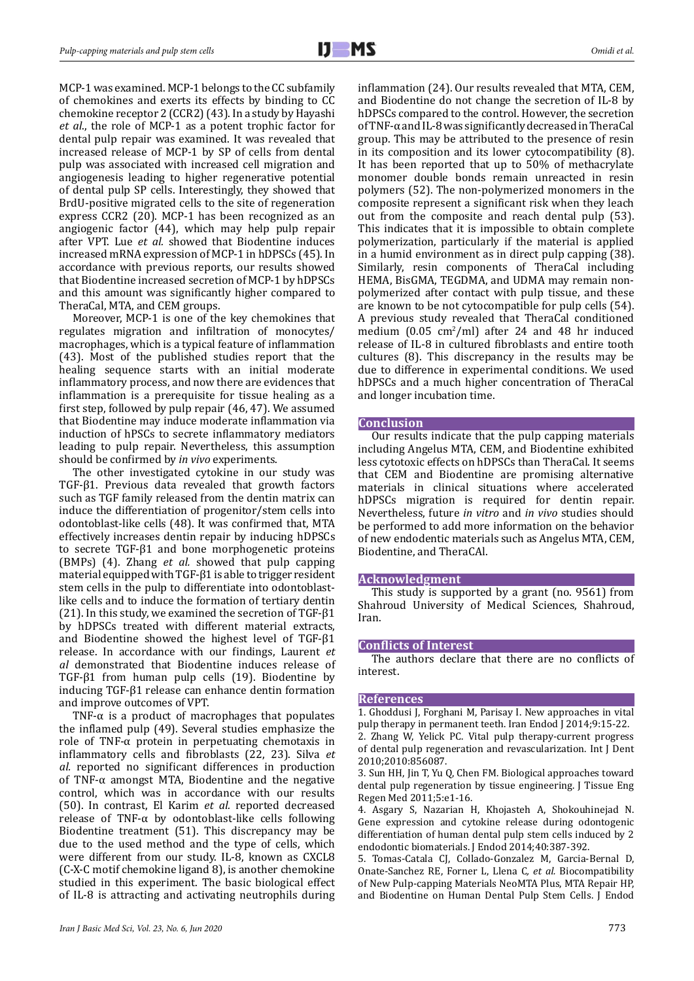MCP-1 was examined. MCP-1 belongs to the CC subfamily of chemokines and exerts its effects by binding to CC chemokine receptor 2 (CCR2) (43). In a study by Hayashi *et al*., the role of MCP-1 as a potent trophic factor for dental pulp repair was examined. It was revealed that increased release of MCP-1 by SP of cells from dental pulp was associated with increased cell migration and angiogenesis leading to higher regenerative potential of dental pulp SP cells. Interestingly, they showed that BrdU-positive migrated cells to the site of regeneration express CCR2 (20). MCP-1 has been recognized as an angiogenic factor (44), which may help pulp repair after VPT. Lue *et al.* showed that Biodentine induces increased mRNA expression of MCP-1 in hDPSCs (45). In accordance with previous reports, our results showed that Biodentine increased secretion of MCP-1 by hDPSCs and this amount was significantly higher compared to TheraCal, MTA, and CEM groups.

Moreover, MCP-1 is one of the key chemokines that regulates migration and infiltration of monocytes/ macrophages, which is a typical feature of inflammation (43). Most of the published studies report that the healing sequence starts with an initial moderate inflammatory process, and now there are evidences that inflammation is a prerequisite for tissue healing as a first step, followed by pulp repair (46, 47). We assumed that Biodentine may induce moderate inflammation via induction of hPSCs to secrete inflammatory mediators leading to pulp repair. Nevertheless, this assumption should be confirmed by *in vivo* experiments.

The other investigated cytokine in our study was TGF-β1. Previous data revealed that growth factors such as TGF family released from the dentin matrix can induce the differentiation of progenitor/stem cells into odontoblast-like cells (48). It was confirmed that, MTA effectively increases dentin repair by inducing hDPSCs to secrete TGF-β1 and bone morphogenetic proteins (BMPs) (4). Zhang *et al.* showed that pulp capping material equipped with TGF-β1 is able to trigger resident stem cells in the pulp to differentiate into odontoblastlike cells and to induce the formation of tertiary dentin (21). In this study, we examined the secretion of TGF- $\beta$ 1 by hDPSCs treated with different material extracts, and Biodentine showed the highest level of TGF-β1 release. In accordance with our findings, Laurent *et al* demonstrated that Biodentine induces release of TGF-β1 from human pulp cells (19). Biodentine by inducing TGF-β1 release can enhance dentin formation and improve outcomes of VPT.

TNF- $\alpha$  is a product of macrophages that populates the inflamed pulp (49). Several studies emphasize the role of TNF- $α$  protein in perpetuating chemotaxis in inflammatory cells and fibroblasts (22, 23). Silva *et al.* reported no significant differences in production of TNF- $\alpha$  amongst MTA, Biodentine and the negative control, which was in accordance with our results (50). In contrast, El Karim *et al.* reported decreased release of TNF- $\alpha$  by odontoblast-like cells following Biodentine treatment (51). This discrepancy may be due to the used method and the type of cells, which were different from our study. IL-8, known as CXCL8 (C-X-C motif chemokine ligand 8), is another chemokine studied in this experiment. The basic biological effect of IL-8 is attracting and activating neutrophils during

inflammation (24). Our results revealed that MTA, CEM, and Biodentine do not change the secretion of IL-8 by hDPSCs compared to the control. However, the secretion of TNF-α and IL-8 was significantly decreased in TheraCal group. This may be attributed to the presence of resin in its composition and its lower cytocompatibility (8). It has been reported that up to 50% of methacrylate monomer double bonds remain unreacted in resin polymers (52). The non-polymerized monomers in the composite represent a significant risk when they leach out from the composite and reach dental pulp (53). This indicates that it is impossible to obtain complete polymerization, particularly if the material is applied in a humid environment as in direct pulp capping (38). Similarly, resin components of TheraCal including HEMA, BisGMA, TEGDMA, and UDMA may remain nonpolymerized after contact with pulp tissue, and these are known to be not cytocompatible for pulp cells (54). A previous study revealed that TheraCal conditioned medium  $(0.05 \text{ cm}^2/\text{ml})$  after 24 and 48 hr induced release of IL-8 in cultured fibroblasts and entire tooth cultures (8). This discrepancy in the results may be due to difference in experimental conditions. We used hDPSCs and a much higher concentration of TheraCal and longer incubation time.

#### **Conclusion**

Our results indicate that the pulp capping materials including Angelus MTA, CEM, and Biodentine exhibited less cytotoxic effects on hDPSCs than TheraCal. It seems that CEM and Biodentine are promising alternative materials in clinical situations where accelerated hDPSCs migration is required for dentin repair. Nevertheless, future *in vitro* and *in vivo* studies should be performed to add more information on the behavior of new endodentic materials such as Angelus MTA, CEM, Biodentine, and TheraCAl.

## **Acknowledgment**

This study is supported by a grant (no. 9561) from Shahroud University of Medical Sciences, Shahroud, Iran.

## **Conflicts of Interest**

The authors declare that there are no conflicts of interest.

#### **References**

1. Ghoddusi J, Forghani M, Parisay I. New approaches in vital pulp therapy in permanent teeth. Iran Endod J 2014;9:15-22. 2. Zhang W, Yelick PC. Vital pulp therapy-current progress of dental pulp regeneration and revascularization. Int J Dent 2010;2010:856087.

3. Sun HH, Jin T, Yu Q, Chen FM. Biological approaches toward dental pulp regeneration by tissue engineering. I Tissue Eng Regen Med 2011;5:e1-16.

4. Asgary S, Nazarian H, Khojasteh A, Shokouhinejad N. Gene expression and cytokine release during odontogenic differentiation of human dental pulp stem cells induced by 2 endodontic biomaterials. J Endod 2014;40:387-392.

5. Tomas-Catala CJ, Collado-Gonzalez M, Garcia-Bernal D, Onate-Sanchez RE, Forner L, Llena C*, et al.* Biocompatibility of New Pulp-capping Materials NeoMTA Plus, MTA Repair HP, and Biodentine on Human Dental Pulp Stem Cells. J Endod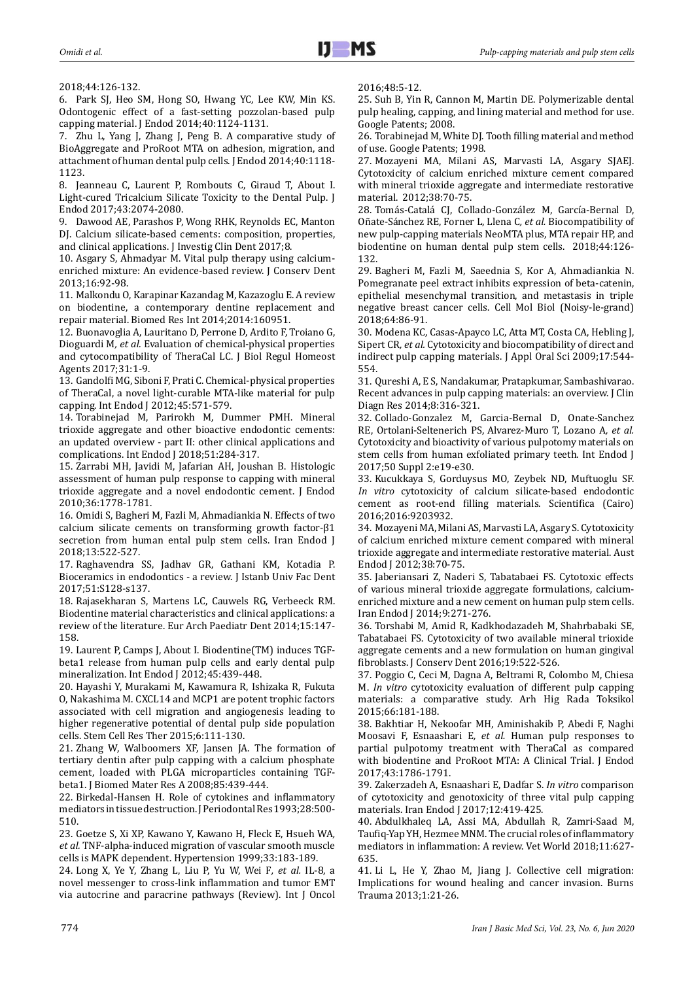2018;44:126-132.

6. Park SJ, Heo SM, Hong SO, Hwang YC, Lee KW, Min KS. Odontogenic effect of a fast-setting pozzolan-based pulp capping material. J Endod 2014;40:1124-1131.

7. Zhu L, Yang J, Zhang J, Peng B. A comparative study of BioAggregate and ProRoot MTA on adhesion, migration, and attachment of human dental pulp cells. J Endod 2014;40:1118- 1123.

8. Jeanneau C, Laurent P, Rombouts C, Giraud T, About I. Light-cured Tricalcium Silicate Toxicity to the Dental Pulp. J Endod 2017;43:2074-2080.

9. Dawood AE, Parashos P, Wong RHK, Reynolds EC, Manton DJ. Calcium silicate-based cements: composition, properties, and clinical applications. J Investig Clin Dent 2017;8.

10. Asgary S, Ahmadyar M. Vital pulp therapy using calciumenriched mixture: An evidence-based review. J Conserv Dent 2013;16:92-98.

11. Malkondu O, Karapinar Kazandag M, Kazazoglu E. A review on biodentine, a contemporary dentine replacement and repair material. Biomed Res Int 2014;2014:160951.

12. Buonavoglia A, Lauritano D, Perrone D, Ardito F, Troiano G, Dioguardi M*, et al.* Evaluation of chemical-physical properties and cytocompatibility of TheraCal LC. J Biol Regul Homeost Agents 2017;31:1-9.

13. Gandolfi MG, Siboni F, Prati C. Chemical-physical properties of TheraCal, a novel light-curable MTA-like material for pulp capping. Int Endod J 2012;45:571-579.

14. Torabinejad M, Parirokh M, Dummer PMH. Mineral trioxide aggregate and other bioactive endodontic cements: an updated overview - part II: other clinical applications and complications. Int Endod J 2018;51:284-317.

15. Zarrabi MH, Javidi M, Jafarian AH, Joushan B. Histologic assessment of human pulp response to capping with mineral trioxide aggregate and a novel endodontic cement. J Endod 2010;36:1778-1781.

16. Omidi S, Bagheri M, Fazli M, Ahmadiankia N. Effects of two calcium silicate cements on transforming growth factor-β1 secretion from human ental pulp stem cells. Iran Endod J 2018;13:522-527.

17. Raghavendra SS, Jadhav GR, Gathani KM, Kotadia P. Bioceramics in endodontics - a review. J Istanb Univ Fac Dent 2017;51:S128-s137.

18. Rajasekharan S, Martens LC, Cauwels RG, Verbeeck RM. Biodentine material characteristics and clinical applications: a review of the literature. Eur Arch Paediatr Dent 2014;15:147- 158.

19. Laurent P, Camps J, About I. Biodentine(TM) induces TGFbeta1 release from human pulp cells and early dental pulp mineralization. Int Endod J 2012;45:439-448.

20. Hayashi Y, Murakami M, Kawamura R, Ishizaka R, Fukuta O, Nakashima M. CXCL14 and MCP1 are potent trophic factors associated with cell migration and angiogenesis leading to higher regenerative potential of dental pulp side population cells. Stem Cell Res Ther 2015;6:111-130.

21. Zhang W, Walboomers XF, Jansen JA. The formation of tertiary dentin after pulp capping with a calcium phosphate cement, loaded with PLGA microparticles containing TGFbeta1. J Biomed Mater Res A 2008;85:439-444.

22. Birkedal-Hansen H. Role of cytokines and inflammatory mediators in tissue destruction. J Periodontal Res 1993;28:500- 510.

23. Goetze S, Xi XP, Kawano Y, Kawano H, Fleck E, Hsueh WA*, et al.* TNF-alpha-induced migration of vascular smooth muscle cells is MAPK dependent. Hypertension 1999;33:183-189.

24. Long X, Ye Y, Zhang L, Liu P, Yu W, Wei F*, et al.* IL-8, a novel messenger to cross-link inflammation and tumor EMT via autocrine and paracrine pathways (Review). Int J Oncol 2016;48:5-12.

25. Suh B, Yin R, Cannon M, Martin DE. Polymerizable dental pulp healing, capping, and lining material and method for use. Google Patents; 2008.

26. Torabinejad M, White DJ. Tooth filling material and method of use. Google Patents; 1998.

27. Mozayeni MA, Milani AS, Marvasti LA, Asgary SJAEJ. Cytotoxicity of calcium enriched mixture cement compared with mineral trioxide aggregate and intermediate restorative material. 2012;38:70-75.

28. Tomás-Catalá CJ, Collado-González M, García-Bernal D, Oñate-Sánchez RE, Forner L, Llena C*, et al.* Biocompatibility of new pulp-capping materials NeoMTA plus, MTA repair HP, and biodentine on human dental pulp stem cells. 2018;44:126- 132.

29. Bagheri M, Fazli M, Saeednia S, Kor A, Ahmadiankia N. Pomegranate peel extract inhibits expression of beta-catenin, epithelial mesenchymal transition, and metastasis in triple negative breast cancer cells. Cell Mol Biol (Noisy-le-grand) 2018;64:86-91.

30. Modena KC, Casas-Apayco LC, Atta MT, Costa CA, Hebling J, Sipert CR*, et al.* Cytotoxicity and biocompatibility of direct and indirect pulp capping materials. J Appl Oral Sci 2009;17:544-554.

31. Qureshi A, E S, Nandakumar, Pratapkumar, Sambashivarao. Recent advances in pulp capping materials: an overview. J Clin Diagn Res 2014;8:316-321.

32. Collado-Gonzalez M, Garcia-Bernal D, Onate-Sanchez RE, Ortolani-Seltenerich PS, Alvarez-Muro T, Lozano A*, et al.* Cytotoxicity and bioactivity of various pulpotomy materials on stem cells from human exfoliated primary teeth. Int Endod J 2017;50 Suppl 2:e19-e30.

33. Kucukkaya S, Gorduysus MO, Zeybek ND, Muftuoglu SF. *In vitro* cytotoxicity of calcium silicate-based endodontic cement as root-end filling materials. Scientifica (Cairo) 2016;2016:9203932.

34. Mozayeni MA, Milani AS, Marvasti LA, Asgary S. Cytotoxicity of calcium enriched mixture cement compared with mineral trioxide aggregate and intermediate restorative material. Aust Endod J 2012;38:70-75.

35. Jaberiansari Z, Naderi S, Tabatabaei FS. Cytotoxic effects of various mineral trioxide aggregate formulations, calciumenriched mixture and a new cement on human pulp stem cells. Iran Endod J 2014;9:271-276.

36. Torshabi M, Amid R, Kadkhodazadeh M, Shahrbabaki SE, Tabatabaei FS. Cytotoxicity of two available mineral trioxide aggregate cements and a new formulation on human gingival fibroblasts. J Conserv Dent 2016;19:522-526.

37. Poggio C, Ceci M, Dagna A, Beltrami R, Colombo M, Chiesa M. *In vitro* cytotoxicity evaluation of different pulp capping materials: a comparative study. Arh Hig Rada Toksikol 2015;66:181-188.

38. Bakhtiar H, Nekoofar MH, Aminishakib P, Abedi F, Naghi Moosavi F, Esnaashari E*, et al.* Human pulp responses to partial pulpotomy treatment with TheraCal as compared with biodentine and ProRoot MTA: A Clinical Trial. J Endod 2017;43:1786-1791.

39. Zakerzadeh A, Esnaashari E, Dadfar S. *In vitro* comparison of cytotoxicity and genotoxicity of three vital pulp capping materials. Iran Endod J 2017;12:419-425.

40. Abdulkhaleq LA, Assi MA, Abdullah R, Zamri-Saad M, Taufiq-Yap YH, Hezmee MNM. The crucial roles of inflammatory mediators in inflammation: A review. Vet World 2018;11:627- 635.

41. Li L, He Y, Zhao M, Jiang J. Collective cell migration: Implications for wound healing and cancer invasion. Burns Trauma 2013;1:21-26.